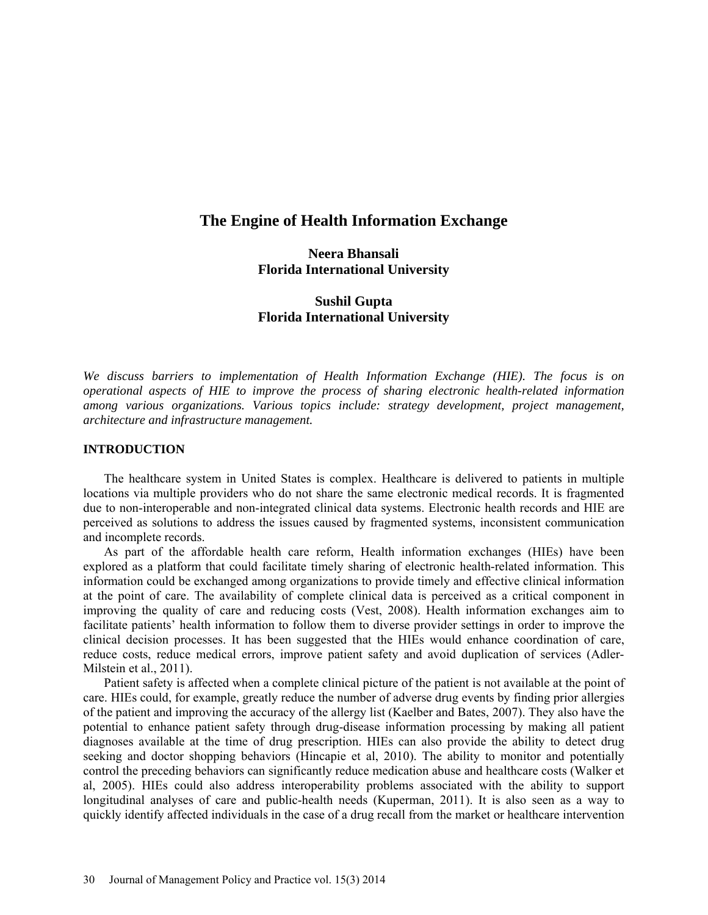# **The Engine of Health Information Exchange**

## **Neera Bhansali Florida International University**

## **Sushil Gupta Florida International University**

*We discuss barriers to implementation of Health Information Exchange (HIE). The focus is on operational aspects of HIE to improve the process of sharing electronic health-related information among various organizations. Various topics include: strategy development, project management, architecture and infrastructure management.*

## **INTRODUCTION**

The healthcare system in United States is complex. Healthcare is delivered to patients in multiple locations via multiple providers who do not share the same electronic medical records. It is fragmented due to non-interoperable and non-integrated clinical data systems. Electronic health records and HIE are perceived as solutions to address the issues caused by fragmented systems, inconsistent communication and incomplete records.

As part of the affordable health care reform, Health information exchanges (HIEs) have been explored as a platform that could facilitate timely sharing of electronic health-related information. This information could be exchanged among organizations to provide timely and effective clinical information at the point of care. The availability of complete clinical data is perceived as a critical component in improving the quality of care and reducing costs (Vest, 2008). Health information exchanges aim to facilitate patients' health information to follow them to diverse provider settings in order to improve the clinical decision processes. It has been suggested that the HIEs would enhance coordination of care, reduce costs, reduce medical errors, improve patient safety and avoid duplication of services (Adler-Milstein et al., 2011).

Patient safety is affected when a complete clinical picture of the patient is not available at the point of care. HIEs could, for example, greatly reduce the number of adverse drug events by finding prior allergies of the patient and improving the accuracy of the allergy list (Kaelber and Bates, 2007). They also have the potential to enhance patient safety through drug-disease information processing by making all patient diagnoses available at the time of drug prescription. HIEs can also provide the ability to detect drug seeking and doctor shopping behaviors (Hincapie et al, 2010). The ability to monitor and potentially control the preceding behaviors can significantly reduce medication abuse and healthcare costs (Walker et al, 2005). HIEs could also address interoperability problems associated with the ability to support longitudinal analyses of care and public-health needs (Kuperman, 2011). It is also seen as a way to quickly identify affected individuals in the case of a drug recall from the market or healthcare intervention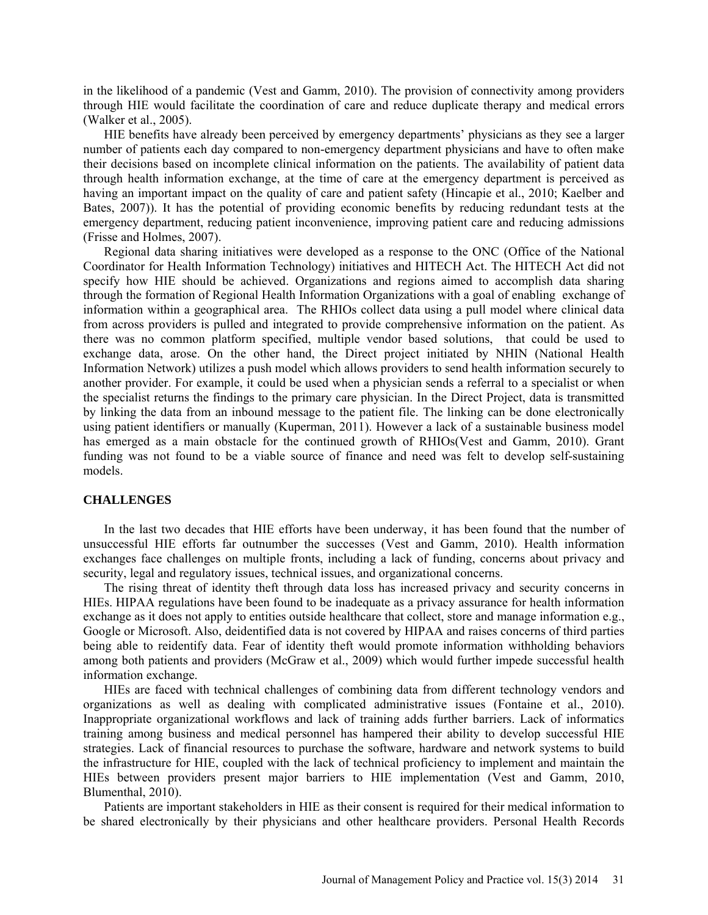in the likelihood of a pandemic (Vest and Gamm, 2010). The provision of connectivity among providers through HIE would facilitate the coordination of care and reduce duplicate therapy and medical errors (Walker et al., 2005).

HIE benefits have already been perceived by emergency departments' physicians as they see a larger number of patients each day compared to non-emergency department physicians and have to often make their decisions based on incomplete clinical information on the patients. The availability of patient data through health information exchange, at the time of care at the emergency department is perceived as having an important impact on the quality of care and patient safety (Hincapie et al., 2010; Kaelber and Bates, 2007)). It has the potential of providing economic benefits by reducing redundant tests at the emergency department, reducing patient inconvenience, improving patient care and reducing admissions (Frisse and Holmes, 2007).

Regional data sharing initiatives were developed as a response to the ONC (Office of the National Coordinator for Health Information Technology) initiatives and HITECH Act. The HITECH Act did not specify how HIE should be achieved. Organizations and regions aimed to accomplish data sharing through the formation of Regional Health Information Organizations with a goal of enabling exchange of information within a geographical area. The RHIOs collect data using a pull model where clinical data from across providers is pulled and integrated to provide comprehensive information on the patient. As there was no common platform specified, multiple vendor based solutions, that could be used to exchange data, arose. On the other hand, the Direct project initiated by NHIN (National Health Information Network) utilizes a push model which allows providers to send health information securely to another provider. For example, it could be used when a physician sends a referral to a specialist or when the specialist returns the findings to the primary care physician. In the Direct Project, data is transmitted by linking the data from an inbound message to the patient file. The linking can be done electronically using patient identifiers or manually (Kuperman, 2011). However a lack of a sustainable business model has emerged as a main obstacle for the continued growth of RHIOs(Vest and Gamm, 2010). Grant funding was not found to be a viable source of finance and need was felt to develop self-sustaining models.

#### **CHALLENGES**

In the last two decades that HIE efforts have been underway, it has been found that the number of unsuccessful HIE efforts far outnumber the successes (Vest and Gamm, 2010). Health information exchanges face challenges on multiple fronts, including a lack of funding, concerns about privacy and security, legal and regulatory issues, technical issues, and organizational concerns.

The rising threat of identity theft through data loss has increased privacy and security concerns in HIEs. HIPAA regulations have been found to be inadequate as a privacy assurance for health information exchange as it does not apply to entities outside healthcare that collect, store and manage information e.g., Google or Microsoft. Also, deidentified data is not covered by HIPAA and raises concerns of third parties being able to reidentify data. Fear of identity theft would promote information withholding behaviors among both patients and providers (McGraw et al., 2009) which would further impede successful health information exchange.

HIEs are faced with technical challenges of combining data from different technology vendors and organizations as well as dealing with complicated administrative issues (Fontaine et al., 2010). Inappropriate organizational workflows and lack of training adds further barriers. Lack of informatics training among business and medical personnel has hampered their ability to develop successful HIE strategies. Lack of financial resources to purchase the software, hardware and network systems to build the infrastructure for HIE, coupled with the lack of technical proficiency to implement and maintain the HIEs between providers present major barriers to HIE implementation (Vest and Gamm, 2010, Blumenthal, 2010).

Patients are important stakeholders in HIE as their consent is required for their medical information to be shared electronically by their physicians and other healthcare providers. Personal Health Records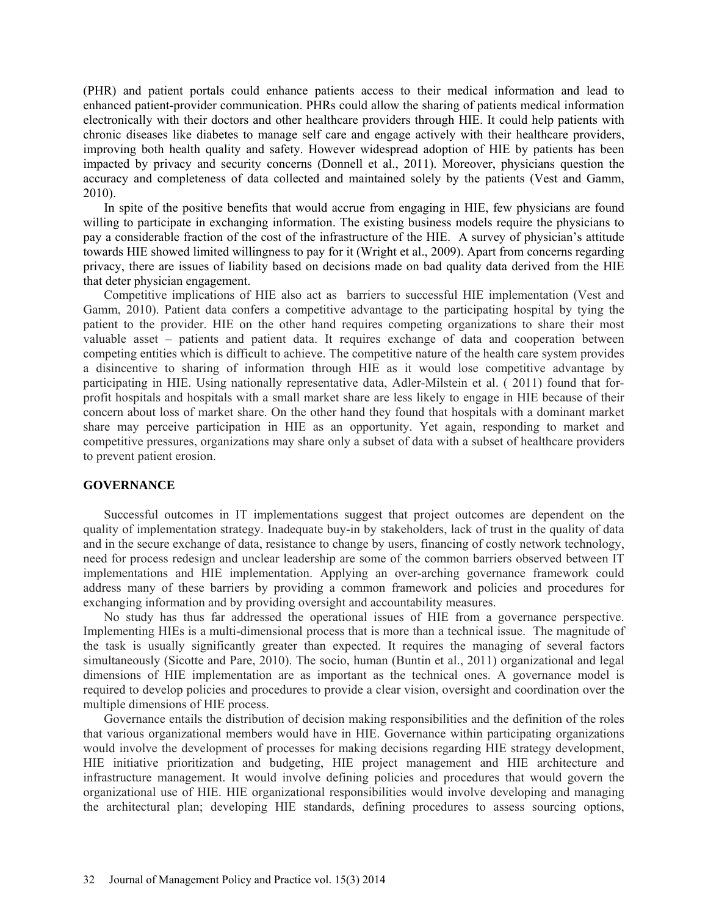(PHR) and patient portals could enhance patients access to their medical information and lead to enhanced patient-provider communication. PHRs could allow the sharing of patients medical information electronically with their doctors and other healthcare providers through HIE. It could help patients with chronic diseases like diabetes to manage self care and engage actively with their healthcare providers, improving both health quality and safety. However widespread adoption of HIE by patients has been impacted by privacy and security concerns (Donnell et al., 2011). Moreover, physicians question the accuracy and completeness of data collected and maintained solely by the patients (Vest and Gamm, 2010).

In spite of the positive benefits that would accrue from engaging in HIE, few physicians are found willing to participate in exchanging information. The existing business models require the physicians to pay a considerable fraction of the cost of the infrastructure of the HIE. A survey of physician's attitude towards HIE showed limited willingness to pay for it (Wright et al., 2009). Apart from concerns regarding privacy, there are issues of liability based on decisions made on bad quality data derived from the HIE that deter physician engagement.

Competitive implications of HIE also act as barriers to successful HIE implementation (Vest and Gamm, 2010). Patient data confers a competitive advantage to the participating hospital by tying the patient to the provider. HIE on the other hand requires competing organizations to share their most valuable asset – patients and patient data. It requires exchange of data and cooperation between competing entities which is difficult to achieve. The competitive nature of the health care system provides a disincentive to sharing of information through HIE as it would lose competitive advantage by participating in HIE. Using nationally representative data, Adler-Milstein et al. ( 2011) found that forprofit hospitals and hospitals with a small market share are less likely to engage in HIE because of their concern about loss of market share. On the other hand they found that hospitals with a dominant market share may perceive participation in HIE as an opportunity. Yet again, responding to market and competitive pressures, organizations may share only a subset of data with a subset of healthcare providers to prevent patient erosion.

## **GOVERNANCE**

Successful outcomes in IT implementations suggest that project outcomes are dependent on the quality of implementation strategy. Inadequate buy-in by stakeholders, lack of trust in the quality of data and in the secure exchange of data, resistance to change by users, financing of costly network technology, need for process redesign and unclear leadership are some of the common barriers observed between IT implementations and HIE implementation. Applying an over-arching governance framework could address many of these barriers by providing a common framework and policies and procedures for exchanging information and by providing oversight and accountability measures.

No study has thus far addressed the operational issues of HIE from a governance perspective. Implementing HIEs is a multi-dimensional process that is more than a technical issue. The magnitude of the task is usually significantly greater than expected. It requires the managing of several factors simultaneously (Sicotte and Pare, 2010). The socio, human (Buntin et al., 2011) organizational and legal dimensions of HIE implementation are as important as the technical ones. A governance model is required to develop policies and procedures to provide a clear vision, oversight and coordination over the multiple dimensions of HIE process.

Governance entails the distribution of decision making responsibilities and the definition of the roles that various organizational members would have in HIE. Governance within participating organizations would involve the development of processes for making decisions regarding HIE strategy development, HIE initiative prioritization and budgeting, HIE project management and HIE architecture and infrastructure management. It would involve defining policies and procedures that would govern the organizational use of HIE. HIE organizational responsibilities would involve developing and managing the architectural plan; developing HIE standards, defining procedures to assess sourcing options,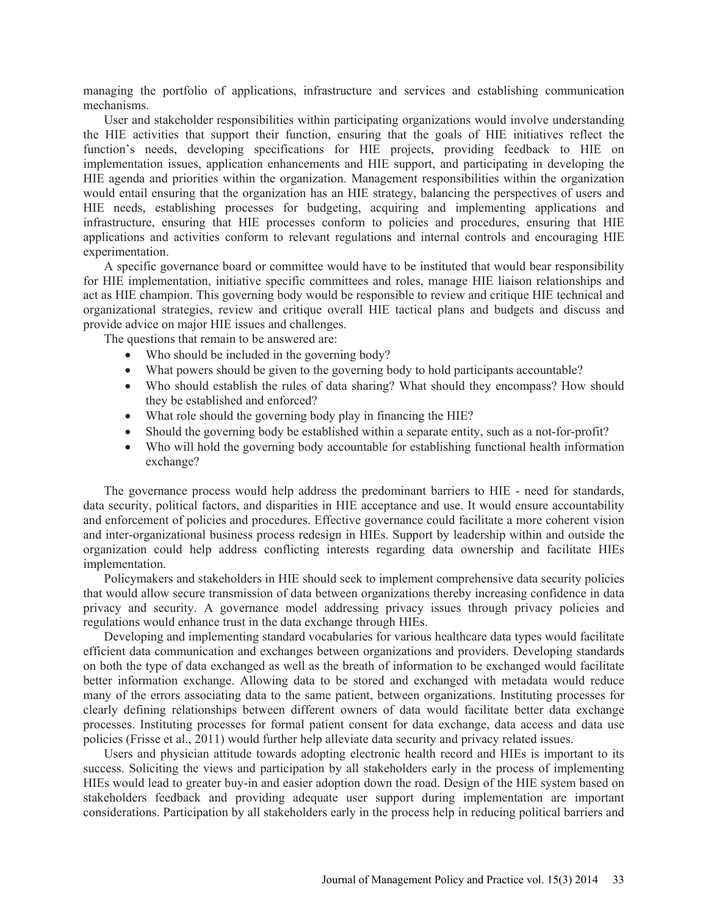managing the portfolio of applications, infrastructure and services and establishing communication mechanisms.

User and stakeholder responsibilities within participating organizations would involve understanding the HIE activities that support their function, ensuring that the goals of HIE initiatives reflect the function's needs, developing specifications for HIE projects, providing feedback to HIE on implementation issues, application enhancements and HIE support, and participating in developing the HIE agenda and priorities within the organization. Management responsibilities within the organization would entail ensuring that the organization has an HIE strategy, balancing the perspectives of users and HIE needs, establishing processes for budgeting, acquiring and implementing applications and infrastructure, ensuring that HIE processes conform to policies and procedures, ensuring that HIE applications and activities conform to relevant regulations and internal controls and encouraging HIE experimentation.

A specific governance board or committee would have to be instituted that would bear responsibility for HIE implementation, initiative specific committees and roles, manage HIE liaison relationships and act as HIE champion. This governing body would be responsible to review and critique HIE technical and organizational strategies, review and critique overall HIE tactical plans and budgets and discuss and provide advice on major HIE issues and challenges.

The questions that remain to be answered are:

- Who should be included in the governing body?
- What powers should be given to the governing body to hold participants accountable?
- Who should establish the rules of data sharing? What should they encompass? How should they be established and enforced?
- What role should the governing body play in financing the HIE?
- Should the governing body be established within a separate entity, such as a not-for-profit?
- Who will hold the governing body accountable for establishing functional health information exchange?

The governance process would help address the predominant barriers to HIE - need for standards, data security, political factors, and disparities in HIE acceptance and use. It would ensure accountability and enforcement of policies and procedures. Effective governance could facilitate a more coherent vision and inter-organizational business process redesign in HIEs. Support by leadership within and outside the organization could help address conflicting interests regarding data ownership and facilitate HIEs implementation.

Policymakers and stakeholders in HIE should seek to implement comprehensive data security policies that would allow secure transmission of data between organizations thereby increasing confidence in data privacy and security. A governance model addressing privacy issues through privacy policies and regulations would enhance trust in the data exchange through HIEs.

Developing and implementing standard vocabularies for various healthcare data types would facilitate efficient data communication and exchanges between organizations and providers. Developing standards on both the type of data exchanged as well as the breath of information to be exchanged would facilitate better information exchange. Allowing data to be stored and exchanged with metadata would reduce many of the errors associating data to the same patient, between organizations. Instituting processes for clearly defining relationships between different owners of data would facilitate better data exchange processes. Instituting processes for formal patient consent for data exchange, data access and data use policies (Frisse et al., 2011) would further help alleviate data security and privacy related issues.

Users and physician attitude towards adopting electronic health record and HIEs is important to its success. Soliciting the views and participation by all stakeholders early in the process of implementing HIEs would lead to greater buy-in and easier adoption down the road. Design of the HIE system based on stakeholders feedback and providing adequate user support during implementation are important considerations. Participation by all stakeholders early in the process help in reducing political barriers and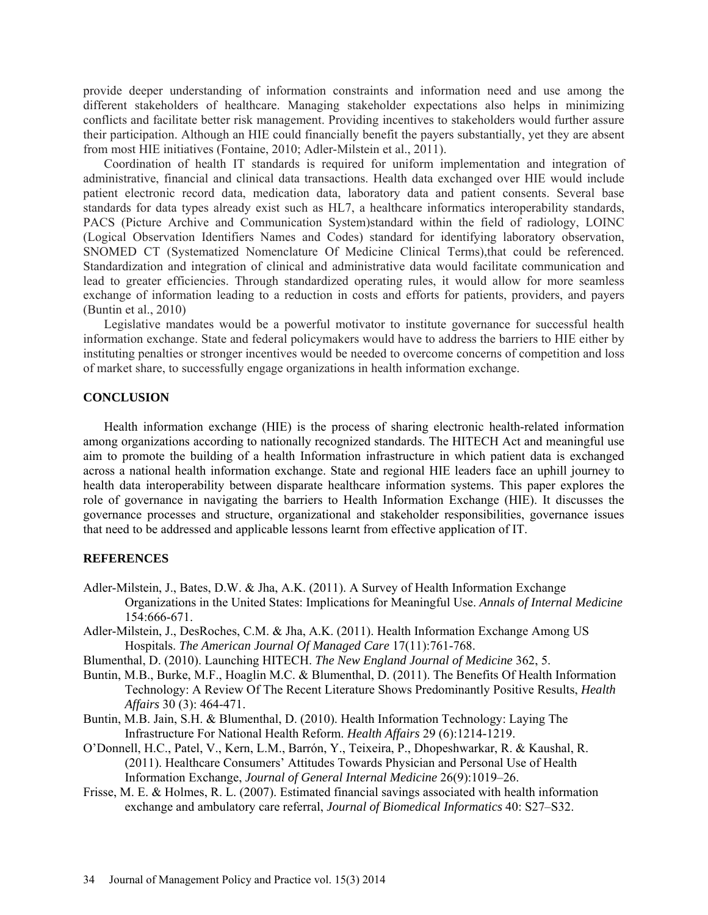provide deeper understanding of information constraints and information need and use among the different stakeholders of healthcare. Managing stakeholder expectations also helps in minimizing conflicts and facilitate better risk management. Providing incentives to stakeholders would further assure their participation. Although an HIE could financially benefit the payers substantially, yet they are absent from most HIE initiatives (Fontaine, 2010; Adler-Milstein et al., 2011).

Coordination of health IT standards is required for uniform implementation and integration of administrative, financial and clinical data transactions. Health data exchanged over HIE would include patient electronic record data, medication data, laboratory data and patient consents. Several base standards for data types already exist such as HL7, a healthcare informatics interoperability standards, PACS (Picture Archive and Communication System)standard within the field of radiology, LOINC (Logical Observation Identifiers Names and Codes) standard for identifying laboratory observation, SNOMED CT (Systematized Nomenclature Of Medicine Clinical Terms),that could be referenced. Standardization and integration of clinical and administrative data would facilitate communication and lead to greater efficiencies. Through standardized operating rules, it would allow for more seamless exchange of information leading to a reduction in costs and efforts for patients, providers, and payers (Buntin et al., 2010)

Legislative mandates would be a powerful motivator to institute governance for successful health information exchange. State and federal policymakers would have to address the barriers to HIE either by instituting penalties or stronger incentives would be needed to overcome concerns of competition and loss of market share, to successfully engage organizations in health information exchange.

### **CONCLUSION**

Health information exchange (HIE) is the process of sharing electronic health-related information among organizations according to nationally recognized standards. The HITECH Act and meaningful use aim to promote the building of a health Information infrastructure in which patient data is exchanged across a national health information exchange. State and regional HIE leaders face an uphill journey to health data interoperability between disparate healthcare information systems. This paper explores the role of governance in navigating the barriers to Health Information Exchange (HIE). It discusses the governance processes and structure, organizational and stakeholder responsibilities, governance issues that need to be addressed and applicable lessons learnt from effective application of IT.

### **REFERENCES**

- Adler-Milstein, J., Bates, D.W. & Jha, A.K. (2011). A Survey of Health Information Exchange Organizations in the United States: Implications for Meaningful Use. *Annals of Internal Medicine* 154:666-671.
- Adler-Milstein, J., DesRoches, C.M. & Jha, A.K. (2011). Health Information Exchange Among US Hospitals. *The American Journal Of Managed Care* 17(11):761-768.
- Blumenthal, D. (2010). Launching HITECH. *The New England Journal of Medicine* 362, 5.
- Buntin, M.B., Burke, M.F., Hoaglin M.C. & Blumenthal, D. (2011). The Benefits Of Health Information Technology: A Review Of The Recent Literature Shows Predominantly Positive Results, *Health Affairs* 30 (3): 464-471.
- Buntin, M.B. Jain, S.H. & Blumenthal, D. (2010). Health Information Technology: Laying The Infrastructure For National Health Reform. *Health Affairs* 29 (6):1214-1219.
- O'Donnell, H.C., Patel, V., Kern, L.M., Barrón, Y., Teixeira, P., Dhopeshwarkar, R. & Kaushal, R. (2011). Healthcare Consumers' Attitudes Towards Physician and Personal Use of Health Information Exchange, *Journal of General Internal Medicine* 26(9):1019–26.
- Frisse, M. E. & Holmes, R. L. (2007). Estimated financial savings associated with health information exchange and ambulatory care referral, *Journal of Biomedical Informatics* 40: S27–S32.